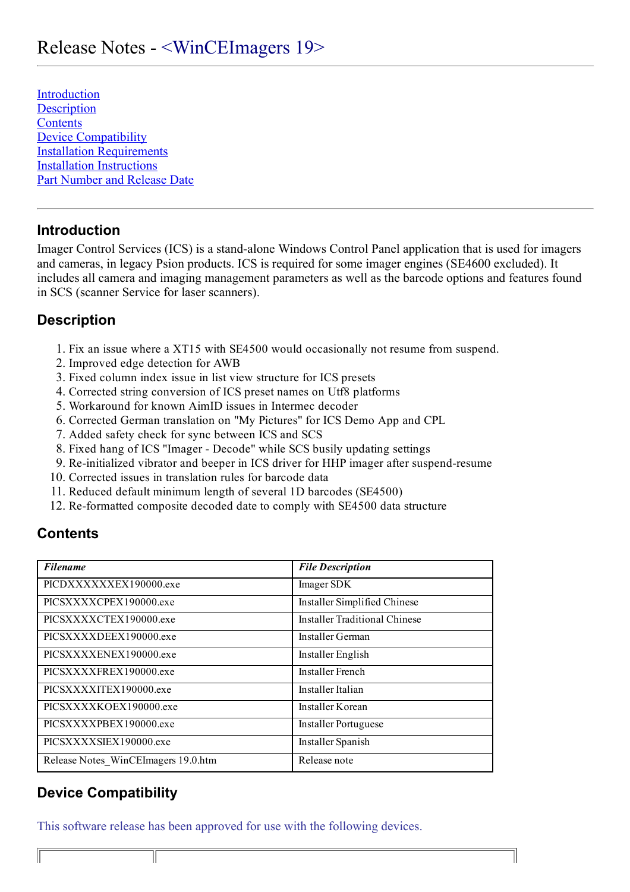[Introduction](#page-0-0) **[Description](#page-0-1) [Contents](#page-0-2)** [Device Compatibility](#page-0-3) [Installation Requirements](#page-1-0) [Installation Instructions](#page-1-1) [Part Number and Release Date](#page-1-2)

## <span id="page-0-0"></span>Introduction

Imager Control Services (ICS) is a stand-alone Windows Control Panel application that is used for imagers and cameras, in legacy Psion products. ICS is required for some imager engines (SE4600 excluded). It includes all camera and imaging management parameters as well as the barcode options and features found in SCS (scanner Service for laser scanners).

## <span id="page-0-1"></span>**Description**

- 1. Fix an issue where a XT15 with SE4500 would occasionally not resume from suspend.
- 2. Improved edge detection for AWB
- 3. Fixed column index issue in list view structure for ICS presets
- 4. Corrected string conversion of ICS preset names on Utf8 platforms
- 5. Workaround for known AimID issues in Intermec decoder
- 6. Corrected German translation on "My Pictures" for ICS Demo App and CPL
- 7. Added safety check for sync between ICS and SCS
- 8. Fixed hang of ICS "Imager Decode" while SCS busily updating settings
- 9. Re-initialized vibrator and beeper in ICS driver for HHP imager after suspend-resume
- 10. Corrected issues in translation rules for barcode data
- 11. Reduced default minimum length of several 1D barcodes (SE4500)
- 12. Re-formatted composite decoded date to comply with SE4500 data structure

#### <span id="page-0-2"></span>**Contents**

| <b>Filename</b>                     | <b>File Description</b>              |
|-------------------------------------|--------------------------------------|
| PICDXXXXXXEX190000.exe              | Imager SDK                           |
| PICSXXXXCPEX190000.exe              | Installer Simplified Chinese         |
| PICSXXXXCTEX190000.exe              | <b>Installer Traditional Chinese</b> |
| PICSXXXXDEEX190000.exe              | Installer German                     |
| PICSXXXXENEX190000.exe              | Installer English                    |
| PICSXXXXFREX190000.exe              | <b>Installer French</b>              |
| PICSXXXXITEX190000.exe              | Installer Italian                    |
| PICSXXXXKOEX190000.exe              | Installer Korean                     |
| PICSXXXXPBEX190000.exe              | Installer Portuguese                 |
| PICSXXXXSIEX190000.exe              | Installer Spanish                    |
| Release Notes WinCEImagers 19.0.htm | Release note                         |

## <span id="page-0-3"></span>Device Compatibility

 $\parallel$ 

This software release has been approved for use with the following devices.

 $\mathbb{F}$